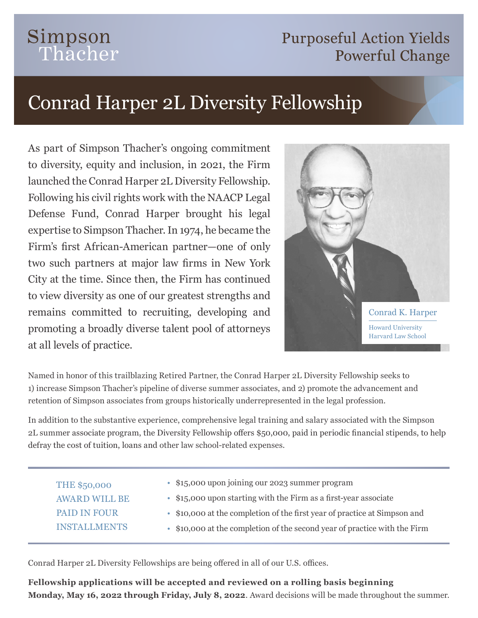## Simpson Thacher

### **Purposeful Action Yields Powerful Change**

# Conrad Harper 2L Diversity Fellowship

As part of Simpson Thacher's ongoing commitment to diversity, equity and inclusion, in 2021, the Firm launched the Conrad Harper 2L Diversity Fellowship. Following his civil rights work with the NAACP Legal Defense Fund, Conrad Harper brought his legal expertise to Simpson Thacher. In 1974, he became the Firm's first African-American partner—one of only two such partners at major law firms in New York City at the time. Since then, the Firm has continued to view diversity as one of our greatest strengths and remains committed to recruiting, developing and promoting a broadly diverse talent pool of attorneys at all levels of practice.



Named in honor of this trailblazing Retired Partner, the Conrad Harper 2L Diversity Fellowship seeks to 1) increase Simpson Thacher's pipeline of diverse summer associates, and 2) promote the advancement and retention of Simpson associates from groups historically underrepresented in the legal profession.

In addition to the substantive experience, comprehensive legal training and salary associated with the Simpson 2L summer associate program, the Diversity Fellowship offers \$50,000, paid in periodic financial stipends, to help defray the cost of tuition, loans and other law school-related expenses.

| <b>THE \$50,000</b>  | • \$15,000 upon joining our 2023 summer program                           |
|----------------------|---------------------------------------------------------------------------|
| <b>AWARD WILL BE</b> | • \$15,000 upon starting with the Firm as a first-year associate          |
| <b>PAID IN FOUR</b>  | • \$10,000 at the completion of the first year of practice at Simpson and |
| <b>INSTALLMENTS</b>  | • \$10,000 at the completion of the second year of practice with the Firm |
|                      |                                                                           |

Conrad Harper 2L Diversity Fellowships are being offered in all of our U.S. offices.

**Fellowship applications will be accepted and reviewed on a rolling basis beginning Monday, May 16, 2022 through Friday, July 8, 2022**. Award decisions will be made throughout the summer.